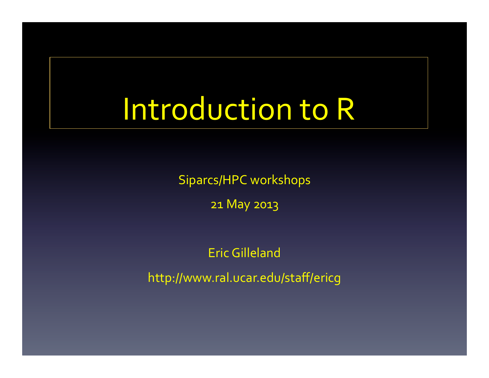# Introduction to R

Siparcs/HPC workshops

21 May 2013

Eric Gilleland 

http://www.ral.ucar.edu/staff/ericg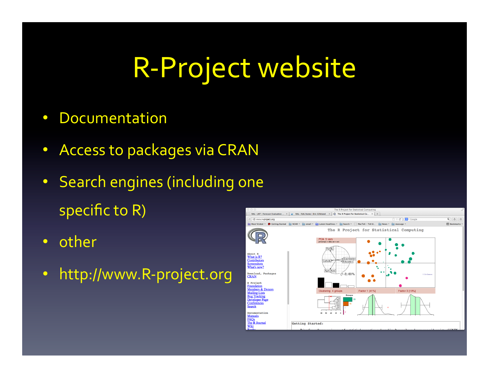## R-Project website

- Documentation
- Access to packages via CRAN
- Search engines (including one specific to  $R$ )
- other
- http://www.R-project.org

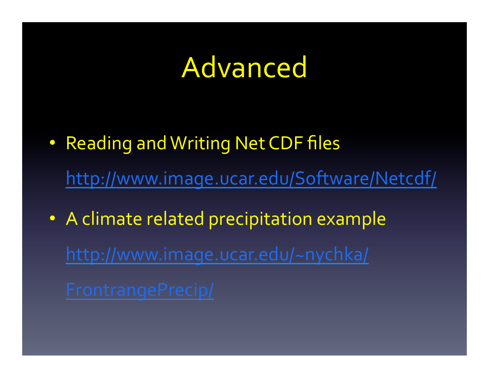#### Advanced

- Reading and Writing Net CDF files http://www.image.ucar.edu/Software/Netcdf/
- A climate related precipitation example http://www.image.ucar.edu/~nychka/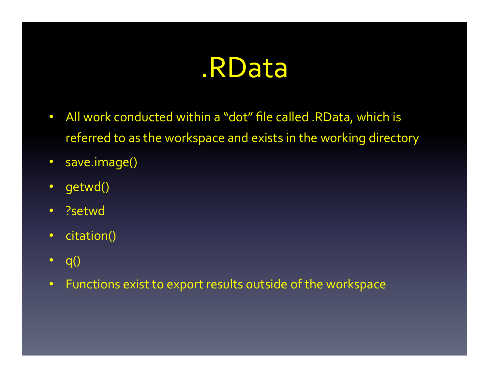#### .RData

- All work conducted within a "dot" file called .RData, which is referred to as the workspace and exists in the working directory
- save.image()
- getwd()
- ?setwd
- citation()
- $q()$
- Functions exist to export results outside of the workspace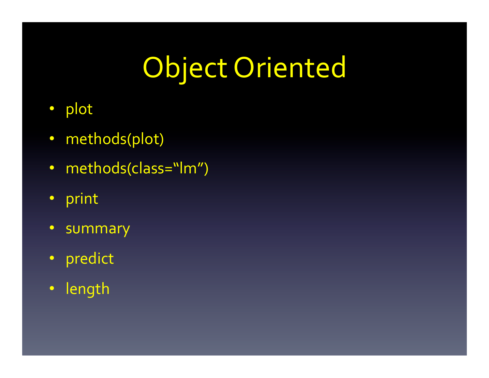# Object Oriented

- plot
- methods(plot)
- methods(class="lm")
- print
- summary
- predict
- length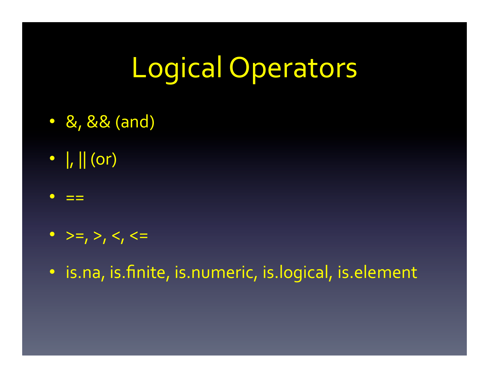# Logical Operators

- &, && (and)
- $\| \cdot \|$  (or)
- $=$   $=$
- $>=, >, <, <=$
- is.na, is.finite, is.numeric, is.logical, is.element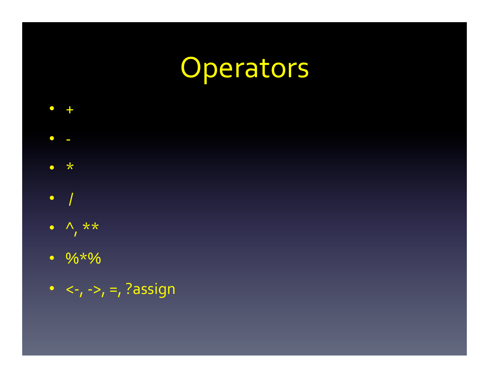### Operators

 $\Lambda$  \*\*  $\bullet$ 

 $\star$ 

 $\bullet$ 

 $\bigcap$ 

 $\bullet$ 

 $\bullet$ 

- $\frac{9}{6} \times \frac{6}{6}$
- $\langle -,- \rangle, =$ , ?assign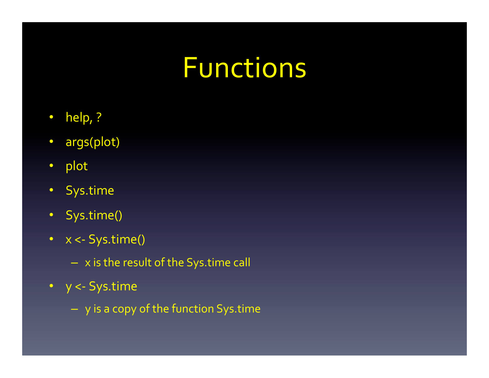### Functions

- help, ?
- args(plot)
- plot
- Sys.time
- Sys.time()
- $x < -$  Sys.time()
	- $x$  is the result of the Sys.time call
- y <- Sys.time
	- $-$  y is a copy of the function Sys.time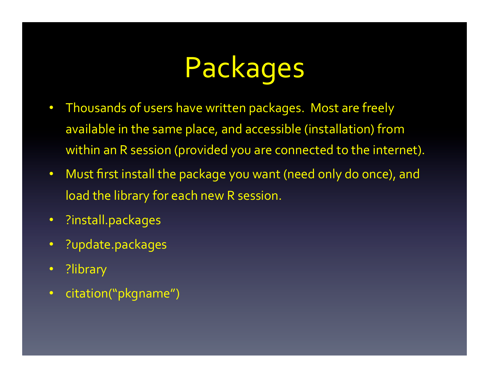# Packages

- Thousands of users have written packages. Most are freely available in the same place, and accessible (installation) from within an R session (provided you are connected to the internet).
- Must first install the package you want (need only do once), and load the library for each new R session.
- ?install.packages
- ?update.packages
- ?library
- citation("pkgname")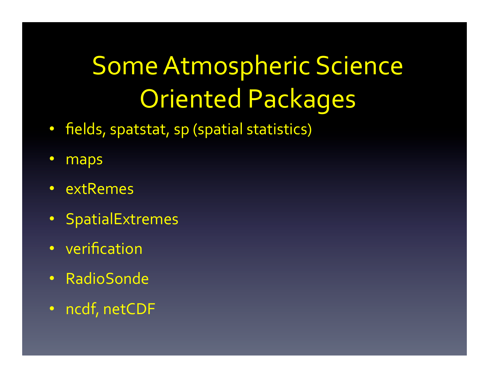# Some Atmospheric Science Oriented Packages

- fields, spatstat, sp (spatial statistics)
- maps
- extRemes
- SpatialExtremes
- verification
- RadioSonde
- ncdf, netCDF